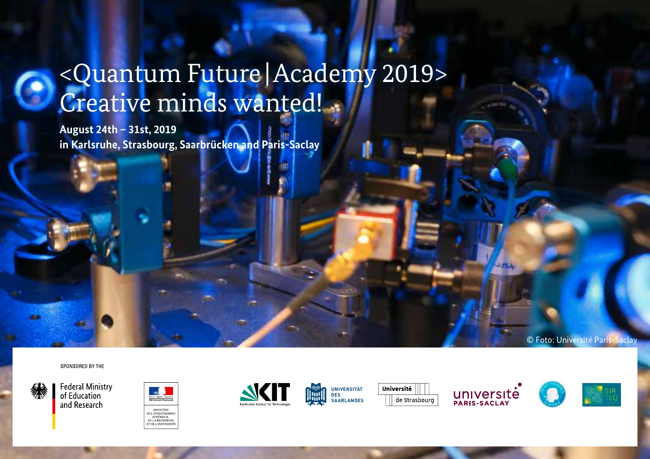# <Quantum Future |Academy 2019> Creative minds wanted!

**August 24th – 31st, 2019 in Karlsruhe, Strasbourg, Saarbrücken and Paris-Saclay**

SPONSORED BY THE









**UNIVERSITÄT DES SAARLANDES**







© Foto: Université Paris